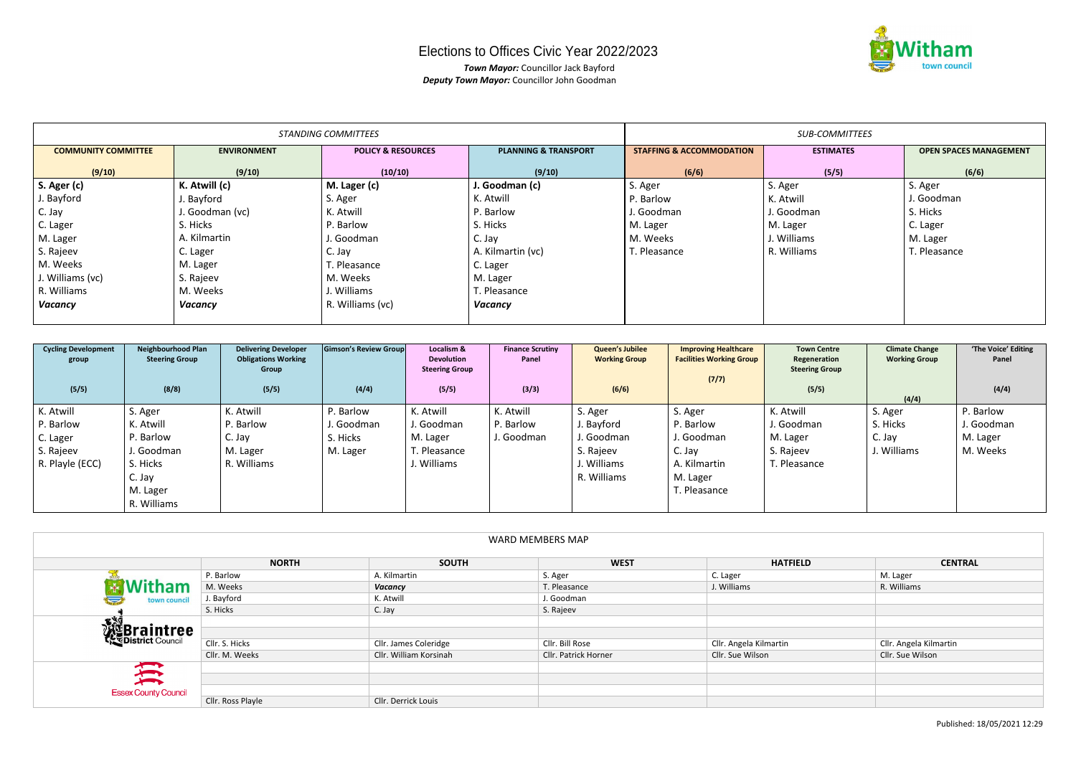## Elections to Offices Civic Year 2022/2023

*Town Mayor:* Councillor Jack Bayford *Deputy Town Mayor:* Councillor John Goodman

|                            |                    | <b>STANDING COMMITTEES</b>    | <b>SUB-COMMITTEES</b>           |                                     |                  |                               |
|----------------------------|--------------------|-------------------------------|---------------------------------|-------------------------------------|------------------|-------------------------------|
| <b>COMMUNITY COMMITTEE</b> | <b>ENVIRONMENT</b> | <b>POLICY &amp; RESOURCES</b> | <b>PLANNING &amp; TRANSPORT</b> | <b>STAFFING &amp; ACCOMMODATION</b> | <b>ESTIMATES</b> | <b>OPEN SPACES MANAGEMENT</b> |
| (9/10)                     | (9/10)             | (10/10)                       | (9/10)                          | (6/6)                               | (5/5)            | (6/6)                         |
| S. Ager (c)                | K. Atwill (c)      | M. Lager (c)                  | J. Goodman (c)                  | S. Ager                             | S. Ager          | S. Ager                       |
| J. Bayford                 | J. Bayford         | S. Ager                       | K. Atwill                       | P. Barlow                           | K. Atwill        | J. Goodman                    |
| C. Jay                     | J. Goodman (vc)    | K. Atwill                     | P. Barlow                       | J. Goodman                          | J. Goodman       | S. Hicks                      |
| C. Lager                   | S. Hicks           | P. Barlow                     | S. Hicks                        | M. Lager                            | M. Lager         | C. Lager                      |
| M. Lager                   | A. Kilmartin       | J. Goodman                    | C. Jay                          | M. Weeks                            | J. Williams      | M. Lager                      |
| S. Rajeev                  | C. Lager           | C. Jay                        | A. Kilmartin (vc)               | T. Pleasance                        | R. Williams      | T. Pleasance                  |
| M. Weeks                   | M. Lager           | T. Pleasance                  | C. Lager                        |                                     |                  |                               |
| J. Williams (vc)           | S. Rajeev          | M. Weeks                      | M. Lager                        |                                     |                  |                               |
| R. Williams                | M. Weeks           | J. Williams                   | T. Pleasance                    |                                     |                  |                               |
| Vacancy                    | Vacancy            | R. Williams (vc)              | Vacancy                         |                                     |                  |                               |
|                            |                    |                               |                                 |                                     |                  |                               |

| <b>Cycling Development</b> | <b>Neighbourhood Plan</b> | <b>Delivering Developer</b> | Gimson's Review Group | Localism &            | <b>Finance Scrutiny</b> | <b>Queen's Jubilee</b> | <b>Improving Healthcare</b>     | <b>Town Centre</b>    | <b>Climate Change</b> | 'The Voice' Editing |
|----------------------------|---------------------------|-----------------------------|-----------------------|-----------------------|-------------------------|------------------------|---------------------------------|-----------------------|-----------------------|---------------------|
| group                      | <b>Steering Group</b>     | <b>Obligations Working</b>  |                       | <b>Devolution</b>     | Panel                   | <b>Working Group</b>   | <b>Facilities Working Group</b> | Regeneration          | <b>Working Group</b>  | Panel               |
|                            |                           | Group                       |                       | <b>Steering Group</b> |                         |                        |                                 | <b>Steering Group</b> |                       |                     |
|                            |                           |                             |                       |                       |                         |                        | (7/7)                           |                       |                       |                     |
| (5/5)                      | (8/8)                     | (5/5)                       | (4/4)                 | (5/5)                 | (3/3)                   | (6/6)                  |                                 | (5/5)                 |                       | (4/4)               |
|                            |                           |                             |                       |                       |                         |                        |                                 |                       | (4/4)                 |                     |
| K. Atwill                  | S. Ager                   | K. Atwill                   | P. Barlow             | K. Atwill             | K. Atwill               | S. Ager                | S. Ager                         | K. Atwill             | S. Ager               | P. Barlow           |
| P. Barlow                  | K. Atwill                 | P. Barlow                   | J. Goodman            | J. Goodman            | P. Barlow               | J. Bayford             | P. Barlow                       | J. Goodman            | S. Hicks              | J. Goodman          |
| C. Lager                   | P. Barlow                 | C. Jay                      | S. Hicks              | M. Lager              | J. Goodman              | J. Goodman             | J. Goodman                      | M. Lager              | C. Jay                | M. Lager            |
| S. Rajeev                  | I. Goodman                | M. Lager                    | M. Lager              | r. Pleasance          |                         | S. Rajeev              | C. Jay                          | S. Rajeev             | J. Williams           | M. Weeks            |
| R. Playle (ECC)            | S. Hicks                  | R. Williams                 |                       | . Williams            |                         | J. Williams            | A. Kilmartin                    | r. Pleasance          |                       |                     |
|                            | C. Jay                    |                             |                       |                       |                         | R. Williams            | M. Lager                        |                       |                       |                     |
|                            | M. Lager                  |                             |                       |                       |                         |                        | T. Pleasance                    |                       |                       |                     |
|                            | R. Williams               |                             |                       |                       |                         |                        |                                 |                       |                       |                     |

| <b>WARD MEMBERS MAP</b>                  |                   |                        |                      |                        |                        |  |  |
|------------------------------------------|-------------------|------------------------|----------------------|------------------------|------------------------|--|--|
|                                          | <b>NORTH</b>      | <b>SOUTH</b>           | <b>WEST</b>          | <b>HATFIELD</b>        | <b>CENTRAL</b>         |  |  |
|                                          | P. Barlow         | A. Kilmartin           | S. Ager              | C. Lager               | M. Lager               |  |  |
| <b>AWitham</b><br>town council<br>$\sum$ | M. Weeks          | Vacancy                | T. Pleasance         | J. Williams            | R. Williams            |  |  |
|                                          | J. Bayford        | K. Atwill              | J. Goodman           |                        |                        |  |  |
|                                          | S. Hicks          | C. Jay                 | S. Rajeev            |                        |                        |  |  |
| EXT<br><b>WEBraintree</b>                |                   |                        |                      |                        |                        |  |  |
|                                          | Cllr. S. Hicks    | Cllr. James Coleridge  | Cllr. Bill Rose      | Cllr. Angela Kilmartin | Cllr. Angela Kilmartin |  |  |
|                                          | Cllr. M. Weeks    | Cllr. William Korsinah | Cllr. Patrick Horner | Cllr. Sue Wilson       | Cllr. Sue Wilson       |  |  |
| 试                                        |                   |                        |                      |                        |                        |  |  |
|                                          |                   |                        |                      |                        |                        |  |  |
| <b>Essex County Council</b>              |                   |                        |                      |                        |                        |  |  |
|                                          | Cllr. Ross Playle | Cllr. Derrick Louis    |                      |                        |                        |  |  |